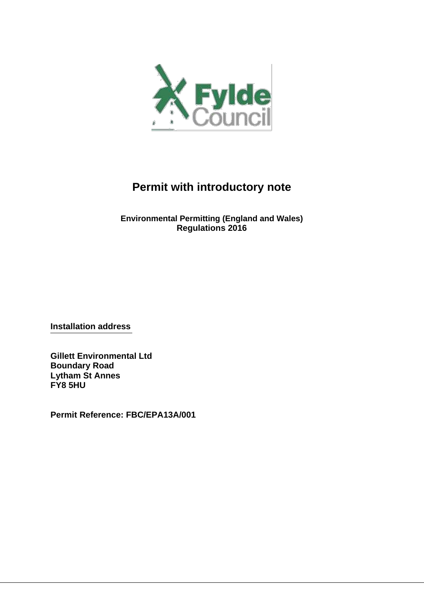

# **Permit with introductory note**

**Environmental Permitting (England and Wales) Regulations 2016**

**Installation address**

**Gillett Environmental Ltd Boundary Road Lytham St Annes FY8 5HU**

**Permit Reference: FBC/EPA13A/001**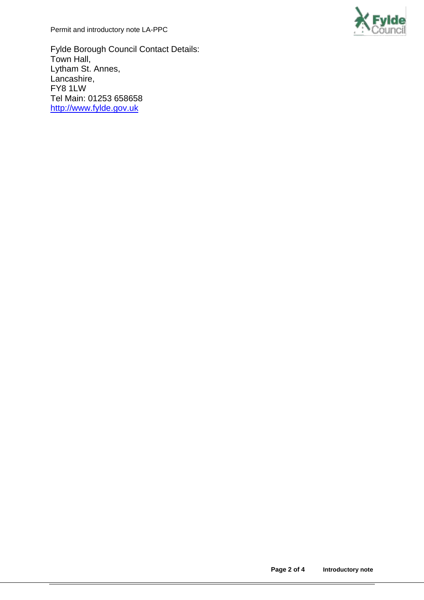Permit and introductory note LA-PPC



Fylde Borough Council Contact Details: Town Hall, Lytham St. Annes, Lancashire, FY8 1LW Tel Main: 01253 658658 [http://www.fylde.gov.uk](http://www.fylde.gov.uk/)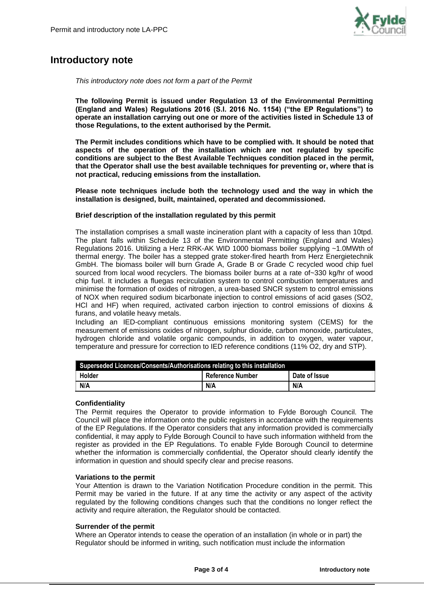

# **Introductory note**

*This introductory note does not form a part of the Permit*

**The following Permit is issued under Regulation 13 of the Environmental Permitting (England and Wales) Regulations 2016 (S.I. 2016 No. 1154) ("the EP Regulations") to operate an installation carrying out one or more of the activities listed in Schedule 13 of those Regulations, to the extent authorised by the Permit.**

**The Permit includes conditions which have to be complied with. It should be noted that aspects of the operation of the installation which are not regulated by specific conditions are subject to the Best Available Techniques condition placed in the permit, that the Operator shall use the best available techniques for preventing or, where that is not practical, reducing emissions from the installation.**

**Please note techniques include both the technology used and the way in which the installation is designed, built, maintained, operated and decommissioned.**

#### **Brief description of the installation regulated by this permit**

The installation comprises a small waste incineration plant with a capacity of less than 10tpd. The plant falls within Schedule 13 of the Environmental Permitting (England and Wales) Regulations 2016. Utilizing a Herz RRK-AK WID 1000 biomass boiler supplying ~1.0MWth of thermal energy. The boiler has a stepped grate stoker-fired hearth from Herz Energietechnik GmbH. The biomass boiler will burn Grade A, Grade B or Grade C recycled wood chip fuel sourced from local wood recyclers. The biomass boiler burns at a rate of~330 kg/hr of wood chip fuel. It includes a fluegas recirculation system to control combustion temperatures and minimise the formation of oxides of nitrogen, a urea-based SNCR system to control emissions of NOX when required sodium bicarbonate injection to control emissions of acid gases (SO2, HCl and HF) when required, activated carbon injection to control emissions of dioxins & furans, and volatile heavy metals.

Including an IED-compliant continuous emissions monitoring system (CEMS) for the measurement of emissions oxides of nitrogen, sulphur dioxide, carbon monoxide, particulates, hydrogen chloride and volatile organic compounds, in addition to oxygen, water vapour, temperature and pressure for correction to IED reference conditions (11% O2, dry and STP).

| Superseded Licences/Consents/Authorisations relating to this installation |  |  |  |  |
|---------------------------------------------------------------------------|--|--|--|--|
| Holder<br>Date of Issue<br>Reference Number                               |  |  |  |  |
| N/A<br>N/A<br>N/A                                                         |  |  |  |  |

# **Confidentiality**

The Permit requires the Operator to provide information to Fylde Borough Council. The Council will place the information onto the public registers in accordance with the requirements of the EP Regulations. If the Operator considers that any information provided is commercially confidential, it may apply to Fylde Borough Council to have such information withheld from the register as provided in the EP Regulations. To enable Fylde Borough Council to determine whether the information is commercially confidential, the Operator should clearly identify the information in question and should specify clear and precise reasons.

#### **Variations to the permit**

Your Attention is drawn to the Variation Notification Procedure condition in the permit. This Permit may be varied in the future. If at any time the activity or any aspect of the activity regulated by the following conditions changes such that the conditions no longer reflect the activity and require alteration, the Regulator should be contacted.

#### **Surrender of the permit**

Where an Operator intends to cease the operation of an installation (in whole or in part) the Regulator should be informed in writing, such notification must include the information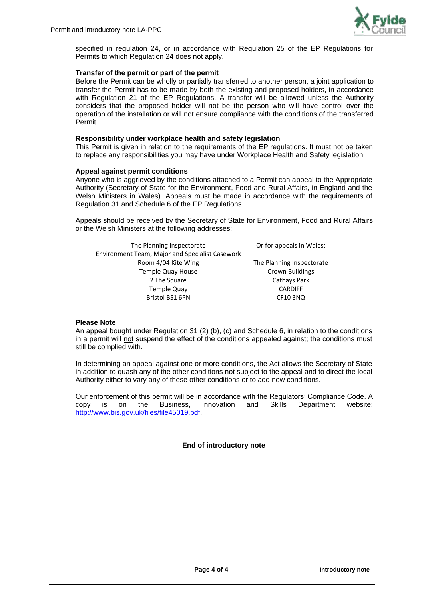

specified in regulation 24, or in accordance with Regulation 25 of the EP Regulations for Permits to which Regulation 24 does not apply.

#### **Transfer of the permit or part of the permit**

Before the Permit can be wholly or partially transferred to another person, a joint application to transfer the Permit has to be made by both the existing and proposed holders, in accordance with Regulation 21 of the EP Regulations. A transfer will be allowed unless the Authority considers that the proposed holder will not be the person who will have control over the operation of the installation or will not ensure compliance with the conditions of the transferred Permit.

#### **Responsibility under workplace health and safety legislation**

This Permit is given in relation to the requirements of the EP regulations. It must not be taken to replace any responsibilities you may have under Workplace Health and Safety legislation.

#### **Appeal against permit conditions**

Anyone who is aggrieved by the conditions attached to a Permit can appeal to the Appropriate Authority (Secretary of State for the Environment, Food and Rural Affairs, in England and the Welsh Ministers in Wales). Appeals must be made in accordance with the requirements of Regulation 31 and Schedule 6 of the EP Regulations.

Appeals should be received by the Secretary of State for Environment, Food and Rural Affairs or the Welsh Ministers at the following addresses:

| The Planning Inspectorate                       | Or for appeals in Wales:  |
|-------------------------------------------------|---------------------------|
| Environment Team, Major and Specialist Casework |                           |
| Room 4/04 Kite Wing                             | The Planning Inspectorate |
| <b>Temple Quay House</b>                        | <b>Crown Buildings</b>    |
| 2 The Square                                    | Cathays Park              |
| <b>Temple Quay</b>                              | <b>CARDIFF</b>            |
| Bristol BS1 6PN                                 | <b>CF10 3NQ</b>           |

#### **Please Note**

An appeal bought under Regulation 31 (2) (b), (c) and Schedule 6, in relation to the conditions in a permit will not suspend the effect of the conditions appealed against; the conditions must still be complied with.

In determining an appeal against one or more conditions, the Act allows the Secretary of State in addition to quash any of the other conditions not subject to the appeal and to direct the local Authority either to vary any of these other conditions or to add new conditions.

Our enforcement of this permit will be in accordance with the Regulators' Compliance Code. A copy is on the Business, Innovation and Skills Department website: is on the Business, Innovation and Skills Department website: [http://www.bis.gov.uk/files/file45019.pdf.](http://www.bis.gov.uk/files/file45019.pdf)

# **End of introductory note**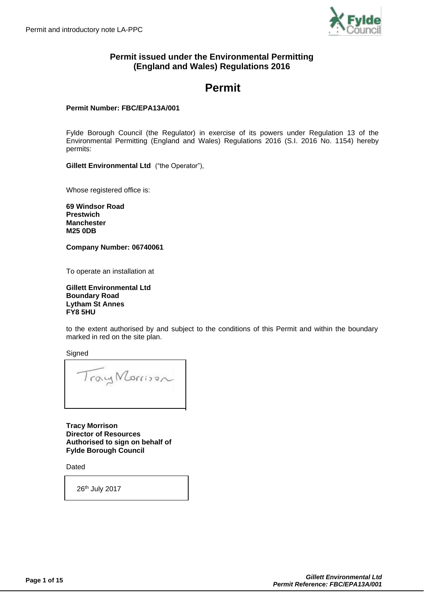

# **Permit issued under the Environmental Permitting (England and Wales) Regulations 2016**

# **Permit**

# **Permit Number: FBC/EPA13A/001**

Fylde Borough Council (the Regulator) in exercise of its powers under Regulation 13 of the Environmental Permitting (England and Wales) Regulations 2016 (S.I. 2016 No. 1154) hereby permits:

**Gillett Environmental Ltd** ("the Operator"),

Whose registered office is:

**69 Windsor Road Prestwich Manchester M25 0DB**

**Company Number: 06740061**

To operate an installation at

**Gillett Environmental Ltd Boundary Road Lytham St Annes FY8 5HU**

to the extent authorised by and subject to the conditions of this Permit and within the boundary marked in red on the site plan.

**Signed** 

TrayMorrison

**Tracy Morrison Director of Resources Authorised to sign on behalf of Fylde Borough Council**

Dated

26th July 2017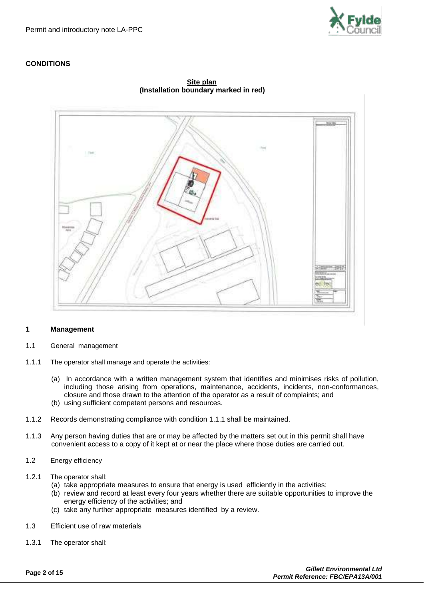

# **CONDITIONS**



**Site plan (Installation boundary marked in red)**

#### **1 Management**

- 1.1 General management
- 1.1.1 The operator shall manage and operate the activities:
	- (a) In accordance with a written management system that identifies and minimises risks of pollution, including those arising from operations, maintenance, accidents, incidents, non-conformances, closure and those drawn to the attention of the operator as a result of complaints; and (b) using sufficient competent persons and resources.
- 1.1.2 Records demonstrating compliance with condition 1.1.1 shall be maintained.
- 1.1.3 Any person having duties that are or may be affected by the matters set out in this permit shall have convenient access to a copy of it kept at or near the place where those duties are carried out.
- 1.2 Energy efficiency
- 1.2.1 The operator shall:
	- (a) take appropriate measures to ensure that energy is used efficiently in the activities;
	- (b) review and record at least every four years whether there are suitable opportunities to improve the energy efficiency of the activities; and
	- (c) take any further appropriate measures identified by a review.
- 1.3 Efficient use of raw materials
- 1.3.1 The operator shall: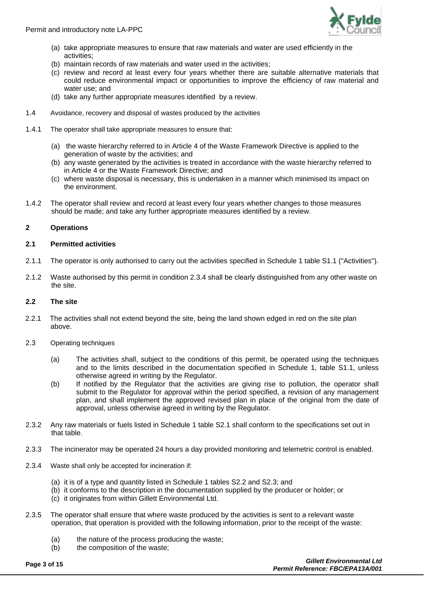Permit and introductory note LA-PPC



- (a) take appropriate measures to ensure that raw materials and water are used efficiently in the activities;
- (b) maintain records of raw materials and water used in the activities;
- (c) review and record at least every four years whether there are suitable alternative materials that could reduce environmental impact or opportunities to improve the efficiency of raw material and water use; and
- (d) take any further appropriate measures identified by a review.
- 1.4 Avoidance, recovery and disposal of wastes produced by the activities
- 1.4.1 The operator shall take appropriate measures to ensure that:
	- (a) the waste hierarchy referred to in Article 4 of the Waste Framework Directive is applied to the generation of waste by the activities; and
	- (b) any waste generated by the activities is treated in accordance with the waste hierarchy referred to in Article 4 or the Waste Framework Directive; and
	- (c) where waste disposal is necessary, this is undertaken in a manner which minimised its impact on the environment.
- 1.4.2 The operator shall review and record at least every four years whether changes to those measures should be made; and take any further appropriate measures identified by a review.

# **2 Operations**

# **2.1 Permitted activities**

- 2.1.1 The operator is only authorised to carry out the activities specified in Schedule 1 table S1.1 ("Activities").
- 2.1.2 Waste authorised by this permit in condition 2.3.4 shall be clearly distinguished from any other waste on the site.

#### **2.2 The site**

- 2.2.1 The activities shall not extend beyond the site, being the land shown edged in red on the site plan above.
- 2.3 Operating techniques
	- (a) The activities shall, subject to the conditions of this permit, be operated using the techniques and to the limits described in the documentation specified in Schedule 1, table S1.1, unless otherwise agreed in writing by the Regulator.
	- (b) If notified by the Regulator that the activities are giving rise to pollution, the operator shall submit to the Regulator for approval within the period specified, a revision of any management plan, and shall implement the approved revised plan in place of the original from the date of approval, unless otherwise agreed in writing by the Regulator.
- 2.3.2 Any raw materials or fuels listed in Schedule 1 table S2.1 shall conform to the specifications set out in that table.
- 2.3.3 The incinerator may be operated 24 hours a day provided monitoring and telemetric control is enabled.
- 2.3.4 Waste shall only be accepted for incineration if:
	- (a) it is of a type and quantity listed in Schedule 1 tables S2.2 and S2.3; and
	- (b) it conforms to the description in the documentation supplied by the producer or holder; or
	- (c) it originates from within Gillett Environmental Ltd.
- 2.3.5 The operator shall ensure that where waste produced by the activities is sent to a relevant waste operation, that operation is provided with the following information, prior to the receipt of the waste:
	- (a) the nature of the process producing the waste;
	- (b) the composition of the waste;

**Page 3 of 15** *Gillett Environmental Ltd Permit Reference: FBC/EPA13A/001*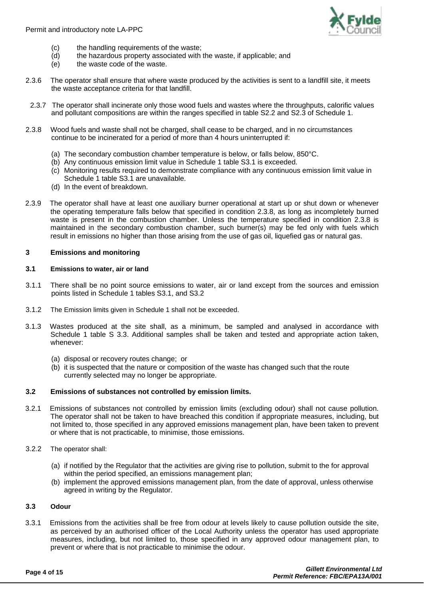

- (c) the handling requirements of the waste;
- (d) the hazardous property associated with the waste, if applicable; and
- (e) the waste code of the waste.
- 2.3.6 The operator shall ensure that where waste produced by the activities is sent to a landfill site, it meets the waste acceptance criteria for that landfill.
- 2.3.7 The operator shall incinerate only those wood fuels and wastes where the throughputs, calorific values and pollutant compositions are within the ranges specified in table S2.2 and S2.3 of Schedule 1.
- 2.3.8 Wood fuels and waste shall not be charged, shall cease to be charged, and in no circumstances continue to be incinerated for a period of more than 4 hours uninterrupted if:
	- (a) The secondary combustion chamber temperature is below, or falls below, 850°C.
	- (b) Any continuous emission limit value in Schedule 1 table S3.1 is exceeded.
	- (c) Monitoring results required to demonstrate compliance with any continuous emission limit value in Schedule 1 table S3.1 are unavailable.
	- (d) In the event of breakdown.
- 2.3.9 The operator shall have at least one auxiliary burner operational at start up or shut down or whenever the operating temperature falls below that specified in condition 2.3.8, as long as incompletely burned waste is present in the combustion chamber. Unless the temperature specified in condition 2.3.8 is maintained in the secondary combustion chamber, such burner(s) may be fed only with fuels which result in emissions no higher than those arising from the use of gas oil, liquefied gas or natural gas.

#### **3 Emissions and monitoring**

#### **3.1 Emissions to water, air or land**

- 3.1.1 There shall be no point source emissions to water, air or land except from the sources and emission points listed in Schedule 1 tables S3.1, and S3.2
- 3.1.2 The Emission limits given in Schedule 1 shall not be exceeded.
- 3.1.3 Wastes produced at the site shall, as a minimum, be sampled and analysed in accordance with Schedule 1 table S 3.3. Additional samples shall be taken and tested and appropriate action taken, whenever:
	- (a) disposal or recovery routes change; or
	- (b) it is suspected that the nature or composition of the waste has changed such that the route currently selected may no longer be appropriate.

# **3.2 Emissions of substances not controlled by emission limits.**

- 3.2.1 Emissions of substances not controlled by emission limits (excluding odour) shall not cause pollution. The operator shall not be taken to have breached this condition if appropriate measures, including, but not limited to, those specified in any approved emissions management plan, have been taken to prevent or where that is not practicable, to minimise, those emissions.
- 3.2.2 The operator shall:
	- (a) if notified by the Regulator that the activities are giving rise to pollution, submit to the for approval within the period specified, an emissions management plan;
	- (b) implement the approved emissions management plan, from the date of approval, unless otherwise agreed in writing by the Regulator.

#### **3.3 Odour**

3.3.1 Emissions from the activities shall be free from odour at levels likely to cause pollution outside the site, as perceived by an authorised officer of the Local Authority unless the operator has used appropriate measures, including, but not limited to, those specified in any approved odour management plan, to prevent or where that is not practicable to minimise the odour.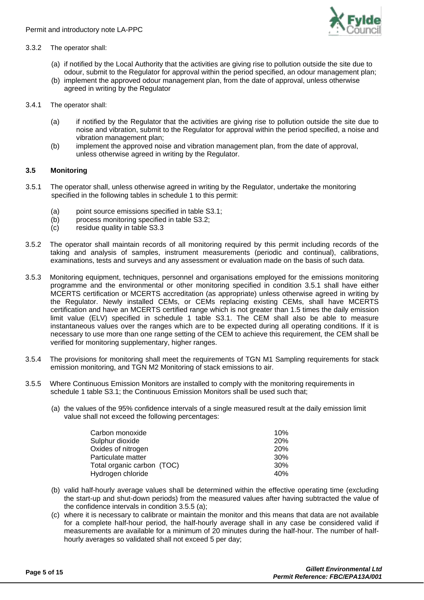

### 3.3.2 The operator shall:

- (a) if notified by the Local Authority that the activities are giving rise to pollution outside the site due to odour, submit to the Regulator for approval within the period specified, an odour management plan;
- (b) implement the approved odour management plan, from the date of approval, unless otherwise agreed in writing by the Regulator
- 3.4.1 The operator shall:
	- (a) if notified by the Regulator that the activities are giving rise to pollution outside the site due to noise and vibration, submit to the Regulator for approval within the period specified, a noise and vibration management plan;
	- (b) implement the approved noise and vibration management plan, from the date of approval, unless otherwise agreed in writing by the Regulator.

#### **3.5 Monitoring**

- 3.5.1 The operator shall, unless otherwise agreed in writing by the Regulator, undertake the monitoring specified in the following tables in schedule 1 to this permit:
	- (a) point source emissions specified in table S3.1;
	- (b) process monitoring specified in table S3.2;
	- (c) residue quality in table S3.3
- 3.5.2 The operator shall maintain records of all monitoring required by this permit including records of the taking and analysis of samples, instrument measurements (periodic and continual), calibrations, examinations, tests and surveys and any assessment or evaluation made on the basis of such data.
- 3.5.3 Monitoring equipment, techniques, personnel and organisations employed for the emissions monitoring programme and the environmental or other monitoring specified in condition 3.5.1 shall have either MCERTS certification or MCERTS accreditation (as appropriate) unless otherwise agreed in writing by the Regulator. Newly installed CEMs, or CEMs replacing existing CEMs, shall have MCERTS certification and have an MCERTS certified range which is not greater than 1.5 times the daily emission limit value (ELV) specified in schedule 1 table S3.1. The CEM shall also be able to measure instantaneous values over the ranges which are to be expected during all operating conditions. If it is necessary to use more than one range setting of the CEM to achieve this requirement, the CEM shall be verified for monitoring supplementary, higher ranges.
- 3.5.4 The provisions for monitoring shall meet the requirements of TGN M1 Sampling requirements for stack emission monitoring, and TGN M2 Monitoring of stack emissions to air.
- 3.5.5 Where Continuous Emission Monitors are installed to comply with the monitoring requirements in schedule 1 table S3.1; the Continuous Emission Monitors shall be used such that;
	- (a) the values of the 95% confidence intervals of a single measured result at the daily emission limit value shall not exceed the following percentages:

| Carbon monoxide            | 10%        |
|----------------------------|------------|
| Sulphur dioxide            | <b>20%</b> |
| Oxides of nitrogen         | <b>20%</b> |
| Particulate matter         | 30%        |
| Total organic carbon (TOC) | 30%        |
| Hydrogen chloride          | 40%        |

- (b) valid half-hourly average values shall be determined within the effective operating time (excluding the start-up and shut-down periods) from the measured values after having subtracted the value of the confidence intervals in condition 3.5.5 (a);
- (c) where it is necessary to calibrate or maintain the monitor and this means that data are not available for a complete half-hour period, the half-hourly average shall in any case be considered valid if measurements are available for a minimum of 20 minutes during the half-hour. The number of halfhourly averages so validated shall not exceed 5 per day;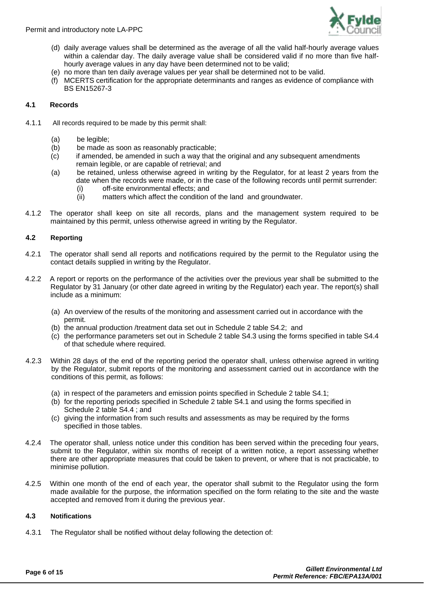

- (d) daily average values shall be determined as the average of all the valid half-hourly average values within a calendar day. The daily average value shall be considered valid if no more than five halfhourly average values in any day have been determined not to be valid;
- (e) no more than ten daily average values per year shall be determined not to be valid.
- (f) MCERTS certification for the appropriate determinants and ranges as evidence of compliance with BS EN15267-3

# **4.1 Records**

- 4.1.1 All records required to be made by this permit shall:
	- (a) be legible;
	- (b) be made as soon as reasonably practicable;
	- (c) if amended, be amended in such a way that the original and any subsequent amendments remain legible, or are capable of retrieval; and
	- (a) be retained, unless otherwise agreed in writing by the Regulator, for at least 2 years from the date when the records were made, or in the case of the following records until permit surrender:
		- (i) off-site environmental effects; and
		- (ii) matters which affect the condition of the land and groundwater.
- 4.1.2 The operator shall keep on site all records, plans and the management system required to be maintained by this permit, unless otherwise agreed in writing by the Regulator.

# **4.2 Reporting**

- 4.2.1 The operator shall send all reports and notifications required by the permit to the Regulator using the contact details supplied in writing by the Regulator.
- 4.2.2 A report or reports on the performance of the activities over the previous year shall be submitted to the Regulator by 31 January (or other date agreed in writing by the Regulator) each year. The report(s) shall include as a minimum:
	- (a) An overview of the results of the monitoring and assessment carried out in accordance with the permit.
	- (b) the annual production /treatment data set out in Schedule 2 table S4.2; and
	- (c) the performance parameters set out in Schedule 2 table S4.3 using the forms specified in table S4.4 of that schedule where required.
- 4.2.3 Within 28 days of the end of the reporting period the operator shall, unless otherwise agreed in writing by the Regulator, submit reports of the monitoring and assessment carried out in accordance with the conditions of this permit, as follows:
	- (a) in respect of the parameters and emission points specified in Schedule 2 table S4.1;
	- (b) for the reporting periods specified in Schedule 2 table S4.1 and using the forms specified in Schedule 2 table S4.4 ; and
	- (c) giving the information from such results and assessments as may be required by the forms specified in those tables.
- 4.2.4 The operator shall, unless notice under this condition has been served within the preceding four years, submit to the Regulator, within six months of receipt of a written notice, a report assessing whether there are other appropriate measures that could be taken to prevent, or where that is not practicable, to minimise pollution.
- 4.2.5 Within one month of the end of each year, the operator shall submit to the Regulator using the form made available for the purpose, the information specified on the form relating to the site and the waste accepted and removed from it during the previous year.

#### **4.3 Notifications**

4.3.1 The Regulator shall be notified without delay following the detection of: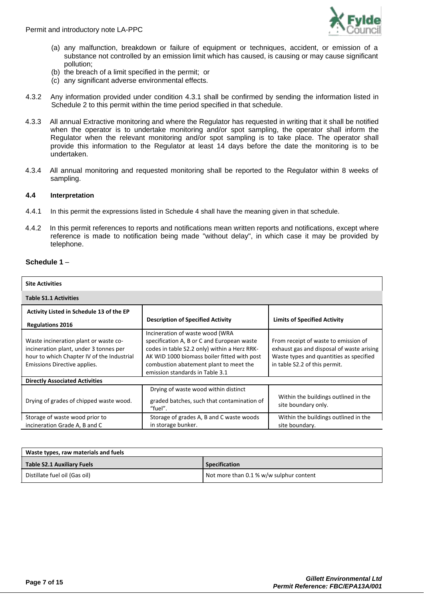

- (a) any malfunction, breakdown or failure of equipment or techniques, accident, or emission of a substance not controlled by an emission limit which has caused, is causing or may cause significant pollution;
- (b) the breach of a limit specified in the permit; or
- (c) any significant adverse environmental effects.
- 4.3.2 Any information provided under condition 4.3.1 shall be confirmed by sending the information listed in Schedule 2 to this permit within the time period specified in that schedule.
- 4.3.3 All annual Extractive monitoring and where the Regulator has requested in writing that it shall be notified when the operator is to undertake monitoring and/or spot sampling, the operator shall inform the Regulator when the relevant monitoring and/or spot sampling is to take place. The operator shall provide this information to the Regulator at least 14 days before the date the monitoring is to be undertaken.
- 4.3.4 All annual monitoring and requested monitoring shall be reported to the Regulator within 8 weeks of sampling.

#### **4.4 Interpretation**

- 4.4.1 In this permit the expressions listed in Schedule 4 shall have the meaning given in that schedule.
- 4.4.2 In this permit references to reports and notifications mean written reports and notifications, except where reference is made to notification being made "without delay", in which case it may be provided by telephone.

#### **Schedule 1** –

| <b>Site Activities</b>                                                                                                                                        |                                                                                                                                                                                                                                                           |                                                                                                                                                               |  |  |  |
|---------------------------------------------------------------------------------------------------------------------------------------------------------------|-----------------------------------------------------------------------------------------------------------------------------------------------------------------------------------------------------------------------------------------------------------|---------------------------------------------------------------------------------------------------------------------------------------------------------------|--|--|--|
| <b>Table S1.1 Activities</b>                                                                                                                                  |                                                                                                                                                                                                                                                           |                                                                                                                                                               |  |  |  |
| Activity Listed in Schedule 13 of the EP                                                                                                                      |                                                                                                                                                                                                                                                           |                                                                                                                                                               |  |  |  |
| <b>Regulations 2016</b>                                                                                                                                       | <b>Description of Specified Activity</b>                                                                                                                                                                                                                  | <b>Limits of Specified Activity</b>                                                                                                                           |  |  |  |
| Waste incineration plant or waste co-<br>incineration plant, under 3 tonnes per<br>hour to which Chapter IV of the Industrial<br>Emissions Directive applies. | Incineration of waste wood (WRA<br>specification A, B or C and European waste<br>codes in table S2.2 only) within a Herz RRK-<br>AK WID 1000 biomass boiler fitted with post<br>combustion abatement plant to meet the<br>emission standards in Table 3.1 | From receipt of waste to emission of<br>exhaust gas and disposal of waste arising<br>Waste types and quantities as specified<br>in table S2.2 of this permit. |  |  |  |
| <b>Directly Associated Activities</b>                                                                                                                         |                                                                                                                                                                                                                                                           |                                                                                                                                                               |  |  |  |
| Drying of grades of chipped waste wood.                                                                                                                       | Drying of waste wood within distinct<br>graded batches, such that contamination of<br>"fuel".                                                                                                                                                             | Within the buildings outlined in the<br>site boundary only.                                                                                                   |  |  |  |
| Storage of waste wood prior to<br>incineration Grade A, B and C                                                                                               | Storage of grades A, B and C waste woods<br>in storage bunker.                                                                                                                                                                                            | Within the buildings outlined in the<br>site boundary.                                                                                                        |  |  |  |

| Waste types, raw materials and fuels |                                         |  |  |  |
|--------------------------------------|-----------------------------------------|--|--|--|
| Table S2.1 Auxiliary Fuels           | Specification                           |  |  |  |
| Distillate fuel oil (Gas oil)        | Not more than 0.1 % w/w sulphur content |  |  |  |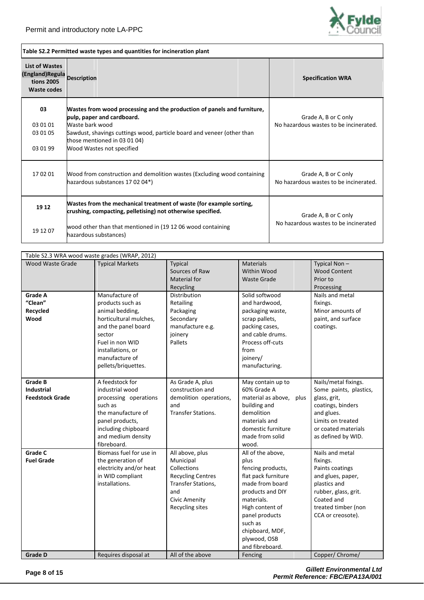

| Table S2.2 Permitted waste types and quantities for incineration plant                    |                                                                                                                                                                                                                                                                 |                                                                |  |  |  |  |
|-------------------------------------------------------------------------------------------|-----------------------------------------------------------------------------------------------------------------------------------------------------------------------------------------------------------------------------------------------------------------|----------------------------------------------------------------|--|--|--|--|
| <b>List of Wastes</b><br>(England) Regula Description<br><b>tions 2005</b><br>Waste codes |                                                                                                                                                                                                                                                                 | <b>Specification WRA</b>                                       |  |  |  |  |
| 03<br>03 01 01<br>03 01 05<br>03 01 99                                                    | Wastes from wood processing and the production of panels and furniture,<br>pulp, paper and cardboard.<br>Waste bark wood<br>Sawdust, shavings cuttings wood, particle board and veneer (other than<br>those mentioned in 03 01 04)<br>Wood Wastes not specified | Grade A, B or C only<br>No hazardous wastes to be incinerated. |  |  |  |  |
| 170201                                                                                    | Wood from construction and demolition wastes (Excluding wood containing<br>hazardous substances 17 02 04*)                                                                                                                                                      | Grade A, B or C only<br>No hazardous wastes to be incinerated. |  |  |  |  |
| 19 12<br>19 12 07                                                                         | Wastes from the mechanical treatment of waste (for example sorting,<br>crushing, compacting, pelletising) not otherwise specified.<br>wood other than that mentioned in (19 12 06 wood containing<br>hazardous substances)                                      | Grade A, B or C only<br>No hazardous wastes to be incinerated  |  |  |  |  |

| Table S2.3 WRA wood waste grades (WRAP, 2012)                 |                                                                                                                                                                                                   |                                                                                                                                                 |                                                                                                                                                                                                                                  |                                                                                                                                                                       |  |  |
|---------------------------------------------------------------|---------------------------------------------------------------------------------------------------------------------------------------------------------------------------------------------------|-------------------------------------------------------------------------------------------------------------------------------------------------|----------------------------------------------------------------------------------------------------------------------------------------------------------------------------------------------------------------------------------|-----------------------------------------------------------------------------------------------------------------------------------------------------------------------|--|--|
| Wood Waste Grade                                              | <b>Typical Markets</b>                                                                                                                                                                            | Typical<br>Sources of Raw<br>Material for<br>Recycling                                                                                          | <b>Materials</b><br>Within Wood<br><b>Waste Grade</b>                                                                                                                                                                            | Typical Non-<br><b>Wood Content</b><br>Prior to<br>Processing                                                                                                         |  |  |
| Grade A<br>"Clean"<br>Recycled<br>Wood                        | Manufacture of<br>products such as<br>animal bedding,<br>horticultural mulches,<br>and the panel board<br>sector<br>Fuel in non WID<br>installations, or<br>manufacture of<br>pellets/briquettes. | Distribution<br>Retailing<br>Packaging<br>Secondary<br>manufacture e.g.<br>joinery<br>Pallets                                                   | Solid softwood<br>and hardwood,<br>packaging waste,<br>scrap pallets,<br>packing cases,<br>and cable drums.<br>Process off-cuts<br>from<br>joinery/<br>manufacturing.                                                            | Nails and metal<br>fixings.<br>Minor amounts of<br>paint, and surface<br>coatings.                                                                                    |  |  |
| <b>Grade B</b><br><b>Industrial</b><br><b>Feedstock Grade</b> | A feedstock for<br>industrial wood<br>processing operations<br>such as<br>the manufacture of<br>panel products,<br>including chipboard<br>and medium density<br>fibreboard.                       | As Grade A, plus<br>construction and<br>demolition operations,<br>and<br><b>Transfer Stations.</b>                                              | May contain up to<br>60% Grade A<br>material as above,<br>plus<br>building and<br>demolition<br>materials and<br>domestic furniture<br>made from solid<br>wood.                                                                  | Nails/metal fixings.<br>Some paints, plastics,<br>glass, grit,<br>coatings, binders<br>and glues.<br>Limits on treated<br>or coated materials<br>as defined by WID.   |  |  |
| <b>Grade C</b><br><b>Fuel Grade</b>                           | Biomass fuel for use in<br>the generation of<br>electricity and/or heat<br>in WID compliant<br>installations.                                                                                     | All above, plus<br>Municipal<br>Collections<br><b>Recycling Centres</b><br>Transfer Stations,<br>and<br><b>Civic Amenity</b><br>Recycling sites | All of the above,<br>plus<br>fencing products,<br>flat pack furniture<br>made from board<br>products and DIY<br>materials.<br>High content of<br>panel products<br>such as<br>chipboard, MDF,<br>plywood, OSB<br>and fibreboard. | Nails and metal<br>fixings.<br>Paints coatings<br>and glues, paper,<br>plastics and<br>rubber, glass, grit.<br>Coated and<br>treated timber (non<br>CCA or creosote). |  |  |
| <b>Grade D</b>                                                | Requires disposal at                                                                                                                                                                              | All of the above                                                                                                                                | Fencing                                                                                                                                                                                                                          | Copper/ Chrome/                                                                                                                                                       |  |  |

**Page 8 of 15** *Gillett Environmental Ltd Permit Reference: FBC/EPA13A/001*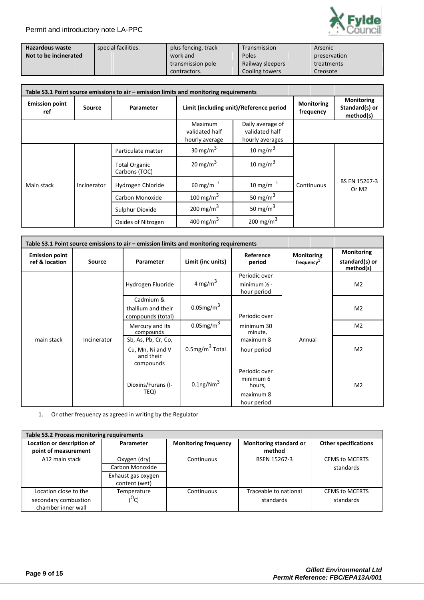

| Hazardous waste       | special facilities. | plus fencing, track | Transmission     | Arsenic      |
|-----------------------|---------------------|---------------------|------------------|--------------|
| Not to be incinerated |                     | work and            | Poles            | preservation |
|                       |                     | transmission pole   | Railway sleepers | treatments   |
|                       |                     | contractors.        | Cooling towers   | Creosote     |

| Table S3.1 Point source emissions to air – emission limits and monitoring requirements |                           |                                       |                                             |                                                       |                                |                                                  |
|----------------------------------------------------------------------------------------|---------------------------|---------------------------------------|---------------------------------------------|-------------------------------------------------------|--------------------------------|--------------------------------------------------|
| <b>Emission point</b><br>ref                                                           | Source                    | Parameter                             |                                             | Limit (including unit)/Reference period               | <b>Monitoring</b><br>frequency | <b>Monitoring</b><br>Standard(s) or<br>method(s) |
|                                                                                        |                           |                                       | Maximum<br>validated half<br>hourly average | Daily average of<br>validated half<br>hourly averages |                                |                                                  |
|                                                                                        |                           | Particulate matter                    | 30 mg/m $3$                                 | 10 mg/m $3$                                           |                                |                                                  |
|                                                                                        | Main stack<br>Incinerator | <b>Total Organic</b><br>Carbons (TOC) | 20 mg/m $3$                                 | 10 mg/m $3$                                           |                                |                                                  |
|                                                                                        |                           | Hydrogen Chloride                     | 60 mg/m $^3$                                | 10 mg/m $3$                                           | Continuous                     | BS EN 15267-3<br>Or M <sub>2</sub>               |
|                                                                                        |                           | Carbon Monoxide                       | 100 mg/m $3$                                | 50 mg/m $3$                                           |                                |                                                  |
|                                                                                        |                           | Sulphur Dioxide                       | 200 mg/m $^3$                               | 50 mg/m $3$                                           |                                |                                                  |
|                                                                                        |                           | Oxides of Nitrogen                    | 400 mg/m $3$                                | 200 mg/m $^3$                                         |                                |                                                  |

| Table S3.1 Point source emissions to air – emission limits and monitoring requirements |                                                                   |                                                      |                                    |                                                                  |                                             |                                           |
|----------------------------------------------------------------------------------------|-------------------------------------------------------------------|------------------------------------------------------|------------------------------------|------------------------------------------------------------------|---------------------------------------------|-------------------------------------------|
| <b>Emission point</b><br>ref & location                                                | <b>Source</b>                                                     | Parameter                                            | Limit (inc units)                  | Reference<br>period                                              | <b>Monitoring</b><br>frequency <sup>1</sup> | Monitoring<br>standard(s) or<br>method(s) |
| main stack<br>Incinerator                                                              |                                                                   | Hydrogen Fluoride                                    | 4 mg/m $^3$                        | Periodic over<br>minimum $\frac{1}{2}$ -<br>hour period          | M <sub>2</sub>                              |                                           |
|                                                                                        |                                                                   | Cadmium &<br>thallium and their<br>compounds (total) | $0.05$ mg/m $3$                    | Periodic over                                                    |                                             | M <sub>2</sub>                            |
|                                                                                        |                                                                   | Mercury and its<br>compounds                         | $0.05$ mg/m $3$                    | minimum 30<br>minute,                                            |                                             | M <sub>2</sub>                            |
|                                                                                        | Sb, As, Pb, Cr, Co,<br>Cu, Mn, Ni and V<br>and their<br>compounds | $0.5$ mg/m $3$ Total                                 | maximum 8<br>Annual<br>hour period | M <sub>2</sub>                                                   |                                             |                                           |
|                                                                                        | TEQ)                                                              | Dioxins/Furans (I-                                   | $0.1$ ng/Nm $^3$                   | Periodic over<br>minimum 6<br>hours,<br>maximum 8<br>hour period |                                             | M <sub>2</sub>                            |

1. Or other frequency as agreed in writing by the Regulator

| Table S3.2 Process monitoring requirements |                    |                             |                        |                             |  |  |
|--------------------------------------------|--------------------|-----------------------------|------------------------|-----------------------------|--|--|
| Location or description of                 | Parameter          | <b>Monitoring frequency</b> | Monitoring standard or | <b>Other specifications</b> |  |  |
| point of measurement                       |                    |                             | method                 |                             |  |  |
| A12 main stack                             | Oxygen (dry)       | Continuous                  | <b>BSEN 15267-3</b>    | <b>CEMS to MCERTS</b>       |  |  |
|                                            | Carbon Monoxide    |                             |                        | standards                   |  |  |
|                                            | Exhaust gas oxygen |                             |                        |                             |  |  |
|                                            | content (wet)      |                             |                        |                             |  |  |
| Location close to the                      | Temperature        | Continuous                  | Traceable to national  | <b>CEMS to MCERTS</b>       |  |  |
| secondary combustion                       | ( <sup>U</sup> C)  |                             | standards              | standards                   |  |  |
| chamber inner wall                         |                    |                             |                        |                             |  |  |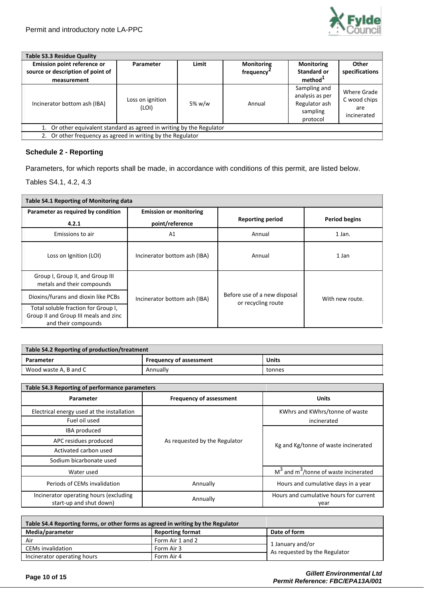

| Table S3.3 Residue Quality                                                      |                           |        |                                             |                                                                          |                                                   |  |
|---------------------------------------------------------------------------------|---------------------------|--------|---------------------------------------------|--------------------------------------------------------------------------|---------------------------------------------------|--|
| Emission point reference or<br>source or description of point of<br>measurement | Parameter                 | Limit  | <b>Monitoring</b><br>frequency <sup>4</sup> | <b>Monitoring</b><br>Standard or<br>method <sup>1</sup>                  | Other<br>specifications                           |  |
| Incinerator bottom ash (IBA)                                                    | Loss on ignition<br>(LOI) | 5% w/w | Annual                                      | Sampling and<br>analysis as per<br>Regulator ash<br>sampling<br>protocol | Where Grade<br>C wood chips<br>are<br>incinerated |  |
| 1. Or other equivalent standard as agreed in writing by the Regulator           |                           |        |                                             |                                                                          |                                                   |  |
| 2. Or other frequency as agreed in writing by the Regulator                     |                           |        |                                             |                                                                          |                                                   |  |

# **Schedule 2 - Reporting**

Parameters, for which reports shall be made, in accordance with conditions of this permit, are listed below.

Tables S4.1, 4.2, 4.3

| Table S4.1 Reporting of Monitoring data                                                             |                               |                                                    |                      |  |  |
|-----------------------------------------------------------------------------------------------------|-------------------------------|----------------------------------------------------|----------------------|--|--|
| Parameter as required by condition                                                                  | <b>Emission or monitoring</b> |                                                    |                      |  |  |
| 4.2.1                                                                                               | point/reference               | <b>Reporting period</b>                            | <b>Period begins</b> |  |  |
| Emissions to air                                                                                    | A1                            | Annual                                             | 1 Jan.               |  |  |
| Loss on Ignition (LOI)                                                                              | Incinerator bottom ash (IBA)  | Annual                                             | 1 Jan                |  |  |
| Group I, Group II, and Group III<br>metals and their compounds                                      |                               |                                                    |                      |  |  |
| Dioxins/furans and dioxin like PCBs                                                                 | Incinerator bottom ash (IBA)  | Before use of a new disposal<br>or recycling route | With new route.      |  |  |
| Total soluble fraction for Group I,<br>Group II and Group III meals and zinc<br>and their compounds |                               |                                                    |                      |  |  |

| Table S4.2 Reporting of production/treatment         |  |  |  |  |  |
|------------------------------------------------------|--|--|--|--|--|
| Units<br><b>Frequency of assessment</b><br>Parameter |  |  |  |  |  |
| Annually<br>Wood waste A, B and C<br>tonnes          |  |  |  |  |  |

| Table S4.3 Reporting of performance parameters                    |                                |                                                     |  |
|-------------------------------------------------------------------|--------------------------------|-----------------------------------------------------|--|
| Parameter                                                         | <b>Frequency of assessment</b> | <b>Units</b>                                        |  |
| Electrical energy used at the installation                        |                                | KWhrs and KWhrs/tonne of waste                      |  |
| Fuel oil used                                                     |                                | incinerated                                         |  |
| IBA produced                                                      |                                |                                                     |  |
| APC residues produced                                             | As requested by the Regulator  | Kg and Kg/tonne of waste incinerated                |  |
| Activated carbon used                                             |                                |                                                     |  |
| Sodium bicarbonate used                                           |                                |                                                     |  |
| Water used                                                        |                                | $M3$ and m <sup>3</sup> /tonne of waste incinerated |  |
| Periods of CEMs invalidation                                      | Annually                       | Hours and cumulative days in a year                 |  |
| Incinerator operating hours (excluding<br>start-up and shut down) | Annually                       | Hours and cumulative hours for current<br>year      |  |

| Table S4.4 Reporting forms, or other forms as agreed in writing by the Regulator |                  |                                                   |  |
|----------------------------------------------------------------------------------|------------------|---------------------------------------------------|--|
| Media/parameter                                                                  | Date of form     |                                                   |  |
| Air                                                                              | Form Air 1 and 2 |                                                   |  |
| <b>CEMs invalidation</b>                                                         | Form Air 3       | 1 January and/or<br>As requested by the Regulator |  |
| Incinerator operating hours<br>Form Air 4                                        |                  |                                                   |  |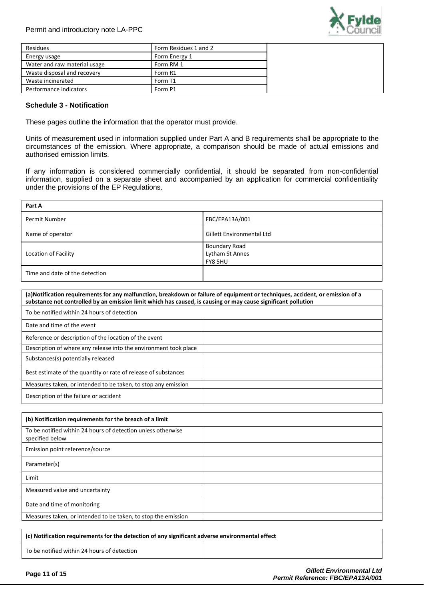

| Residues                     | Form Residues 1 and 2 |
|------------------------------|-----------------------|
| Energy usage                 | Form Energy 1         |
| Water and raw material usage | Form RM 1             |
| Waste disposal and recovery  | Form R1               |
| Waste incinerated            | Form T1               |
| Performance indicators       | Form P1               |

### **Schedule 3 - Notification**

These pages outline the information that the operator must provide.

Units of measurement used in information supplied under Part A and B requirements shall be appropriate to the circumstances of the emission. Where appropriate, a comparison should be made of actual emissions and authorised emission limits.

If any information is considered commercially confidential, it should be separated from non-confidential information, supplied on a separate sheet and accompanied by an application for commercial confidentiality under the provisions of the EP Regulations.

| Part A                                                                                                                                                                                                                                                                                         |                                                    |
|------------------------------------------------------------------------------------------------------------------------------------------------------------------------------------------------------------------------------------------------------------------------------------------------|----------------------------------------------------|
| Permit Number                                                                                                                                                                                                                                                                                  | FBC/EPA13A/001                                     |
| Name of operator                                                                                                                                                                                                                                                                               | Gillett Environmental Ltd                          |
| Location of Facility                                                                                                                                                                                                                                                                           | <b>Boundary Road</b><br>Lytham St Annes<br>FY8 5HU |
| Time and date of the detection                                                                                                                                                                                                                                                                 |                                                    |
| (a) Notification requirements for any malfunction, breakdown or failure of equipment or techniques, accident, or emission of a<br>substance not controlled by an emission limit which has caused, is causing or may cause significant pollution<br>To be notified within 24 hours of detection |                                                    |
| Date and time of the event                                                                                                                                                                                                                                                                     |                                                    |
| Reference or description of the location of the event                                                                                                                                                                                                                                          |                                                    |
| Description of where any release into the environment took place                                                                                                                                                                                                                               |                                                    |
| Substances(s) potentially released                                                                                                                                                                                                                                                             |                                                    |
| Best estimate of the quantity or rate of release of substances                                                                                                                                                                                                                                 |                                                    |
| Measures taken, or intended to be taken, to stop any emission                                                                                                                                                                                                                                  |                                                    |
| Description of the failure or accident                                                                                                                                                                                                                                                         |                                                    |
|                                                                                                                                                                                                                                                                                                |                                                    |

| (b) Notification requirements for the breach of a limit                         |  |
|---------------------------------------------------------------------------------|--|
| To be notified within 24 hours of detection unless otherwise<br>specified below |  |
| Emission point reference/source                                                 |  |
| Parameter(s)                                                                    |  |
| Limit                                                                           |  |
| Measured value and uncertainty                                                  |  |
| Date and time of monitoring                                                     |  |
| Measures taken, or intended to be taken, to stop the emission                   |  |
|                                                                                 |  |

**(c) Notification requirements for the detection of any significant adverse environmental effect**

To be notified within 24 hours of detection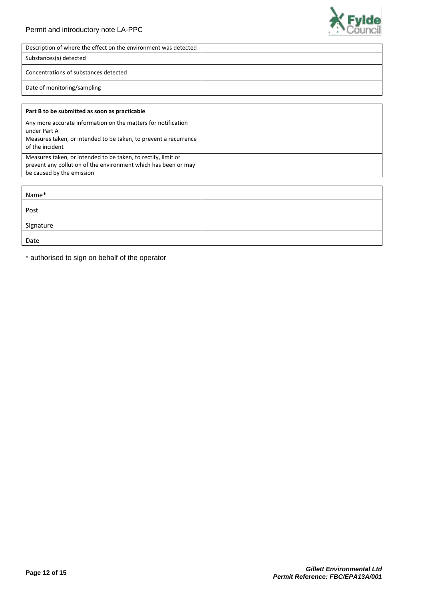# Permit and introductory note LA-PPC



| Description of where the effect on the environment was detected |  |
|-----------------------------------------------------------------|--|
| Substances(s) detected                                          |  |
| Concentrations of substances detected                           |  |
| Date of monitoring/sampling                                     |  |

| Part B to be submitted as soon as practicable                                                                                                                |  |
|--------------------------------------------------------------------------------------------------------------------------------------------------------------|--|
| Any more accurate information on the matters for notification<br>under Part A                                                                                |  |
| Measures taken, or intended to be taken, to prevent a recurrence<br>of the incident                                                                          |  |
| Measures taken, or intended to be taken, to rectify, limit or<br>prevent any pollution of the environment which has been or may<br>be caused by the emission |  |
|                                                                                                                                                              |  |
| Name*                                                                                                                                                        |  |
| Post                                                                                                                                                         |  |
| Signature                                                                                                                                                    |  |

\* authorised to sign on behalf of the operator

Date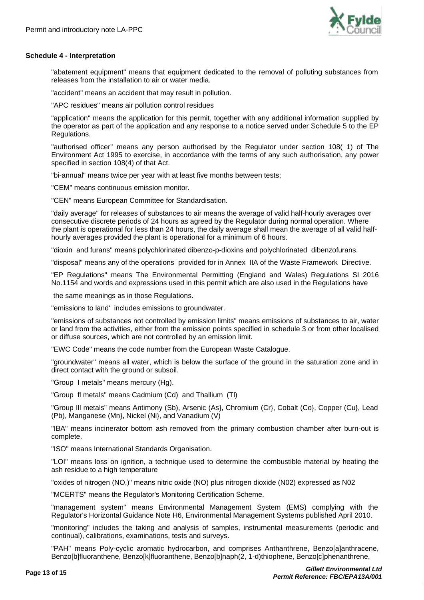

### **Schedule 4 - Interpretation**

"abatement equipment" means that equipment dedicated to the removal of polluting substances from releases from the installation to air or water media.

"accident" means an accident that may result in pollution.

"APC residues" means air pollution control residues

"application" means the application for this permit, together with any additional information supplied by the operator as part of the application and any response to a notice served under Schedule 5 to the EP Regulations.

"authorised officer" means any person authorised by the Regulator under section 108( 1) of The Environment Act 1995 to exercise, in accordance with the terms of any such authorisation, any power specified in section 108(4) of that Act.

"bi-annual" means twice per year with at least five months between tests;

"CEM" means continuous emission monitor.

"CEN" means European Committee for Standardisation.

"daily average" for releases of substances to air means the average of valid half-hourly averages over consecutive discrete periods of 24 hours as agreed by the Regulator during normal operation. Where the plant is operational for less than 24 hours, the daily average shall mean the average of all valid halfhourly averages provided the plant is operational for a minimum of 6 hours.

"dioxin and furans" means polychlorinated dibenzo-p-dioxins and polychlorinated dibenzofurans.

"disposal" means any of the operations provided for in Annex IIA of the Waste Framework Directive.

"EP Regulations" means The Environmental Permitting (England and Wales) Regulations SI 2016 No.1154 and words and expressions used in this permit which are also used in the Regulations have

the same meanings as in those Regulations.

"emissions to land' includes emissions to groundwater.

"emissions of substances not controlled by emission limits" means emissions of substances to air, water or land from the activities, either from the emission points specified in schedule 3 or from other localised or diffuse sources, which are not controlled by an emission limit.

"EWC Code" means the code number from the European Waste Catalogue.

"groundwater'' means all water, which is below the surface of the ground in the saturation zone and in direct contact with the ground or subsoil.

"Group I metals" means mercury (Hg).

"Group fl metals" means Cadmium (Cd) and Thallium (Tl)

"Group Ill metals" means Antimony (Sb), Arsenic (As}, Chromium (Cr}, Cobalt (Co}, Copper (Cu}, Lead (Pb), Manganese (Mn}, Nickel (Ni}, and Vanadium (V)

"IBA" means incinerator bottom ash removed from the primary combustion chamber after burn-out is complete.

"ISO" means International Standards Organisation.

"LOI" means loss on ignition, a technique used to determine the combustible material by heating the ash residue to a high temperature

"oxides of nitrogen (NO,)" means nitric oxide (NO) plus nitrogen dioxide (N02) expressed as N02

"MCERTS" means the Regulator's Monitoring Certification Scheme.

"management system" means Environmental Management System (EMS) complying with the Regulator's Horizontal Guidance Note H6, Environmental Management Systems published April 2010.

"monitoring" includes the taking and analysis of samples, instrumental measurements (periodic and continual), calibrations, examinations, tests and surveys.

"PAH" means Poly-cyclic aromatic hydrocarbon, and comprises Anthanthrene, Benzo[a]anthracene, Benzo[b]fluoranthene, Benzo[k]fluoranthene, Benzo[b]naph(2, 1-d)thiophene, Benzo[c]phenanthrene,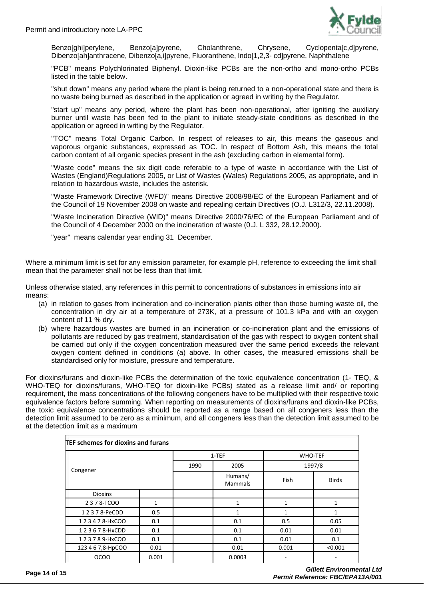

Benzo[ghi]perylene, Benzo[a]pyrene, Cholanthrene, Chrysene, Cyclopenta[c,d]pyrene, Dibenzo[ah]anthracene, Dibenzo[a,i]pyrene, Fluoranthene, lndo[1,2,3- cd]pyrene, Naphthalene

"PCB" means Polychlorinated Biphenyl. Dioxin-like PCBs are the non-ortho and mono-ortho PCBs listed in the table below.

"shut down" means any period where the plant is being returned to a non-operational state and there is no waste being burned as described in the application or agreed in writing by the Regulator.

"start up" means any period, where the plant has been non-operational, after igniting the auxiliary burner until waste has been fed to the plant to initiate steady-state conditions as described in the application or agreed in writing by the Regulator.

"TOC" means Total Organic Carbon. In respect of releases to air, this means the gaseous and vaporous organic substances, expressed as TOC. In respect of Bottom Ash, this means the total carbon content of all organic species present in the ash (excluding carbon in elemental form).

"Waste code" means the six digit code referable to a type of waste in accordance with the List of Wastes (England)Regulations 2005, or List of Wastes (Wales) Regulations 2005, as appropriate, and in relation to hazardous waste, includes the asterisk.

"Waste Framework Directive (WFD)" means Directive 2008/98/EC of the European Parliament and of the Council of 19 November 2008 on waste and repealing certain Directives (O.J. L312/3, 22.11.2008).

"Waste Incineration Directive (WID)" means Directive 2000/76/EC of the European Parliament and of the Council of 4 December 2000 on the incineration of waste (0.J. L 332, 28.12.2000).

"year" means calendar year ending 31 December.

Where a minimum limit is set for any emission parameter, for example pH, reference to exceeding the limit shall mean that the parameter shall not be less than that limit.

Unless otherwise stated, any references in this permit to concentrations of substances in emissions into air means:

- (a) in relation to gases from incineration and co-incineration plants other than those burning waste oil, the concentration in dry air at a temperature of 273K, at a pressure of 101.3 kPa and with an oxygen content of 11 % dry.
- (b) where hazardous wastes are burned in an incineration or co-incineration plant and the emissions of pollutants are reduced by gas treatment, standardisation of the gas with respect to oxygen content shall be carried out only if the oxygen concentration measured over the same period exceeds the relevant oxygen content defined in conditions (a) above. In other cases, the measured emissions shall be standardised only for moisture, pressure and temperature.

For dioxins/furans and dioxin-like PCBs the determination of the toxic equivalence concentration (1- TEQ, & WHO-TEQ for dioxins/furans, WHO-TEQ for dioxin-like PCBs) stated as a release limit and/ or reporting requirement, the mass concentrations of the following congeners have to be multiplied with their respective toxic equivalence factors before summing. When reporting on measurements of dioxins/furans and dioxin-like PCBs, the toxic equivalence concentrations should be reported as a range based on all congeners less than the detection limit assumed to be zero as a minimum, and all congeners less than the detection limit assumed to be at the detection limit as a maximum

| TEF schemes for dioxins and furans |       |       |                           |                |              |
|------------------------------------|-------|-------|---------------------------|----------------|--------------|
|                                    |       | 1-TEF |                           | <b>WHO-TEF</b> |              |
| Congener                           |       | 1990  | 2005                      |                | 1997/8       |
|                                    |       |       | Humans/<br><b>Mammals</b> | Fish           | <b>Birds</b> |
| <b>Dioxins</b>                     |       |       |                           |                |              |
| 2378-TCOO                          | 1     |       | 1                         | 1              | 1            |
| 12378-PeCDD                        | 0.5   |       |                           |                | 1            |
| 1 2 3 4 7 8-HxCOO                  | 0.1   |       | 0.1                       | 0.5            | 0.05         |
| 123678-HxCDD                       | 0.1   |       | 0.1                       | 0.01           | 0.01         |
| 123789-HxCOO                       | 0.1   |       | 0.1                       | 0.01           | 0.1          |
| 123 4 6 7,8-HpCOO                  | 0.01  |       | 0.01                      | 0.001          | < 0.001      |
| <b>OCOO</b>                        | 0.001 |       | 0.0003                    |                |              |

**Page 14 of 15** *Gillett Environmental Ltd Permit Reference: FBC/EPA13A/001*